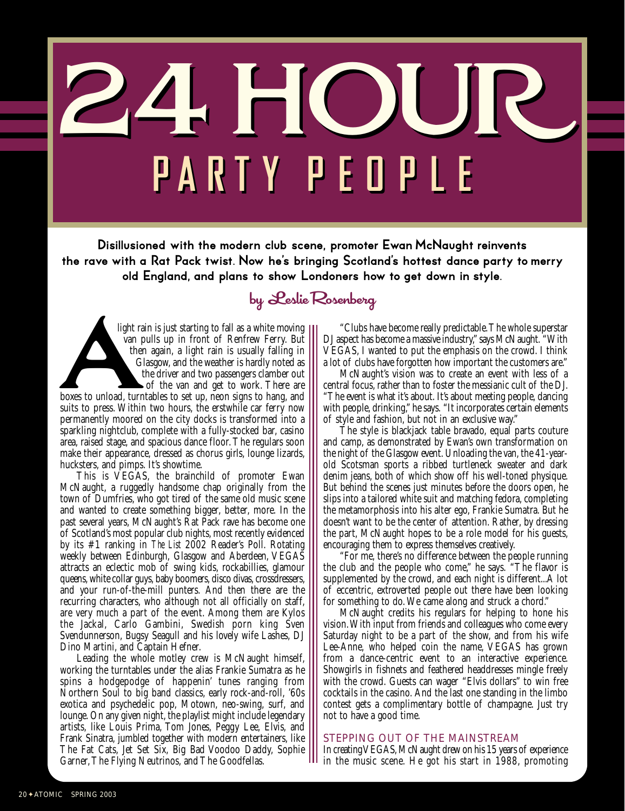24 HOUR **PART Y P EO P L E PART Y P EO P L E**

Disillusioned with the modern club scene, promoter Ewan McNaught reinvents the rave with a Rat Pack twist. Now he's bringing Scotland's hottest dance party to merry old England, and plans to show Londoners how to get down in style.

## by Leslie Rosenberg

light rain is just starting to fall as a white moving van pulls up in front of Renfrew Ferry. But then again, a light rain is usually falling in Glasgow, and the weather is hardly noted as the driver and two passengers clamber out of the van and get to work. There are boxes to unload, turntables to set up, neon signs to hang, and suits to press. Within two hours, the erstwhile car ferry now permanently moored on the city docks is transformed into a sparkling nightclub, complete with a fully-stocked bar, casino area, raised stage, and spacious dance floor. The regulars soon make their appearance, dressed as chorus girls, lounge lizards, hucksters, and pimps. It's showtime. light ra<br>
van p<br>
ther<br>
Gi

This is VEGAS, the brainchild of promoter Ewan McNaught, a ruggedly handsome chap originally from the town of Dumfries, who got tired of the same old music scene and wanted to create something bigger, better, more. In the past several years, McNaught's Rat Pack rave has become one of Scotland's most popular club nights, most recently evidenced by its #1 ranking in *The List* 2002 Reader's Poll. Rotating weekly between Edinburgh, Glasgow and Aberdeen, VEGAS attracts an eclectic mob of swing kids, rockabillies, glamour queens, white collar guys, baby boomers, disco divas, crossdressers, and your run-of-the-mill punters. And then there are the recurring characters, who although not all officially on staff, are very much a part of the event. Among them are Kylos the Jackal, Carlo Gambini, Swedish porn king Sven Svendunnerson, Bugsy Seagull and his lovely wife Lashes, DJ Dino Martini, and Captain Hefner.

Leading the whole motley crew is McNaught himself, working the turntables under the alias Frankie Sumatra as he spins a hodgepodge of happenin' tunes ranging from Northern Soul to big band classics, early rock-and-roll, '60s exotica and psychedelic pop, Motown, neo-swing, surf, and lounge. On any given night, the playlist might include legendary artists, like Louis Prima, Tom Jones, Peggy Lee, Elvis, and Frank Sinatra, jumbled together with modern entertainers, like The Fat Cats, Jet Set Six, Big Bad Voodoo Daddy, Sophie Garner, The Flying Neutrinos, and The Goodfellas.

"Clubs have become really predictable. The whole superstar DJ aspect has become a massive industry," says McNaught. "With VEGAS, I wanted to put the emphasis on the crowd. I think a lot of clubs have forgotten how important the customers are."

McNaught's vision was to create an event with less of a central focus, rather than to foster the messianic cult of the DJ. "The event is what it's about. It's about meeting people, dancing with people, drinking," he says. "It incorporates certain elements of style and fashion, but not in an exclusive way."

The style is blackjack table bravado, equal parts couture and camp, as demonstrated by Ewan's own transformation on the night of the Glasgow event. Unloading the van, the 41-yearold Scotsman sports a ribbed turtleneck sweater and dark denim jeans, both of which show off his well-toned physique. But behind the scenes just minutes before the doors open, he slips into a tailored white suit and matching fedora, completing the metamorphosis into his alter ego, Frankie Sumatra. But he doesn't want to be the center of attention. Rather, by dressing the part, McNaught hopes to be a role model for his guests, encouraging them to express themselves creatively.

"For me, there's no difference between the people running the club and the people who come," he says. "The flavor is supplemented by the crowd, and each night is different...A lot of eccentric, extroverted people out there have been looking for something to do. We came along and struck a chord."

McNaught credits his regulars for helping to hone his vision. With input from friends and colleagues who come every Saturday night to be a part of the show, and from his wife Lee-Anne, who helped coin the name, VEGAS has grown from a dance-centric event to an interactive experience. Showgirls in fishnets and feathered headdresses mingle freely with the crowd. Guests can wager "Elvis dollars" to win free cocktails in the casino. And the last one standing in the limbo contest gets a complimentary bottle of champagne. Just try not to have a good time.

## STEPPING OUT OF THE MAINSTREAM

In creating VEGAS, McNaught drew on his 15 years of experience in the music scene. He got his start in 1988, promoting